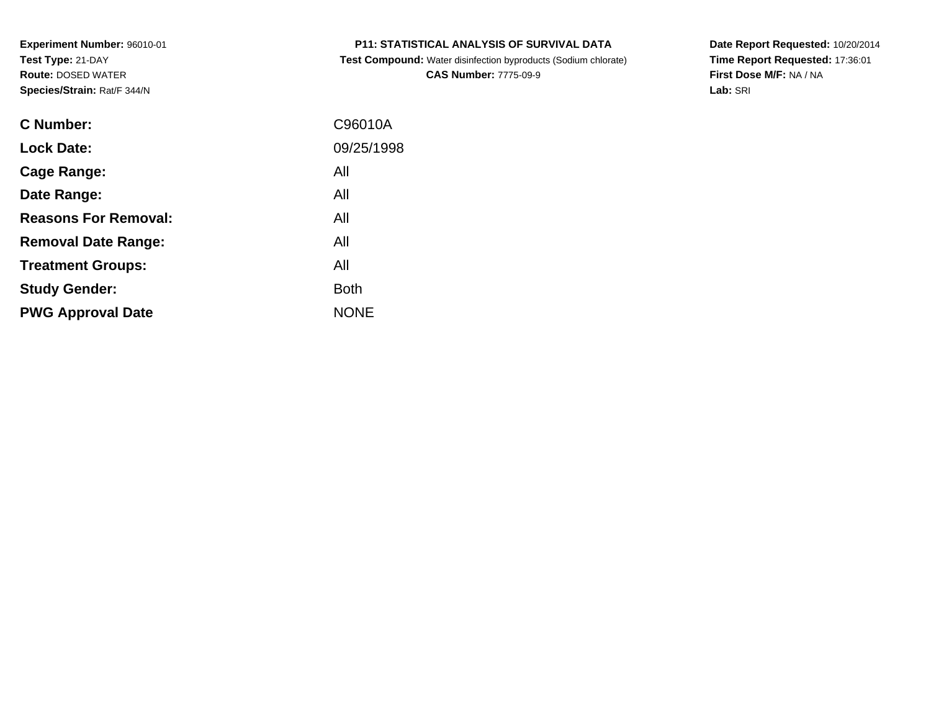**Test Compound:** Water disinfection byproducts (Sodium chlorate)**CAS Number:** 7775-09-9

**Date Report Requested:** 10/20/2014 **Time Report Requested:** 17:36:01**First Dose M/F:** NA / NA**Lab:** SRI

| <b>C</b> Number:            | C96010A     |
|-----------------------------|-------------|
| <b>Lock Date:</b>           | 09/25/1998  |
| Cage Range:                 | All         |
| Date Range:                 | All         |
| <b>Reasons For Removal:</b> | All         |
| <b>Removal Date Range:</b>  | All         |
| <b>Treatment Groups:</b>    | All         |
| <b>Study Gender:</b>        | <b>Both</b> |
| <b>PWG Approval Date</b>    | <b>NONE</b> |
|                             |             |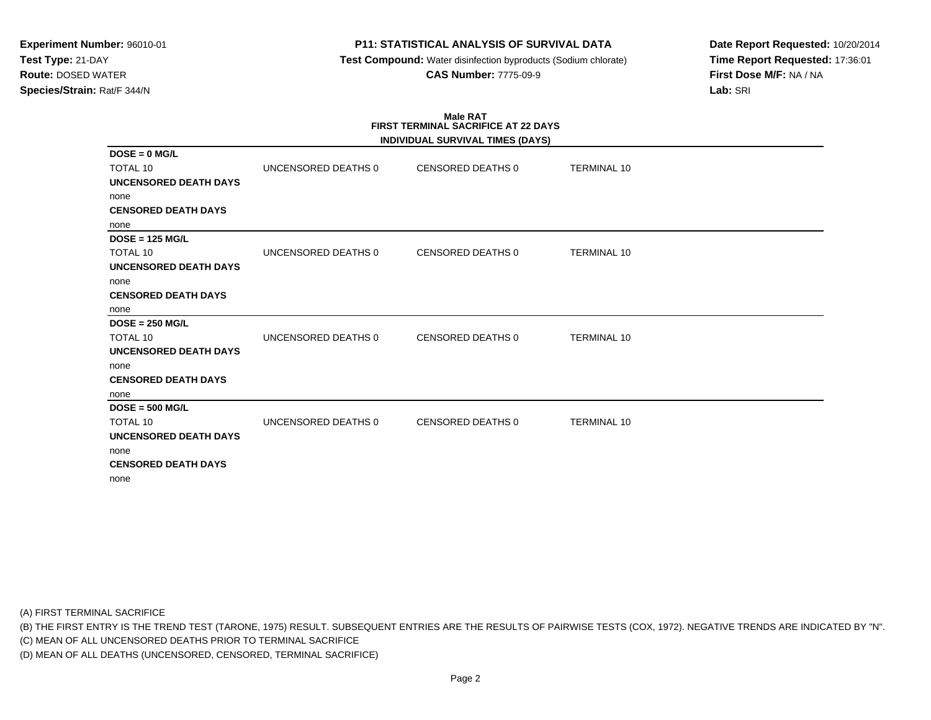# **P11: STATISTICAL ANALYSIS OF SURVIVAL DATA**

 **Test Compound:** Water disinfection byproducts (Sodium chlorate)**CAS Number:** 7775-09-9

**Date Report Requested:** 10/20/2014**Time Report Requested:** 17:36:01**First Dose M/F:** NA / NA**Lab:** SRI

# **Male RATFIRST TERMINAL SACRIFICE AT 22 DAYS**

|                              |                     | INDIVIDUAL SURVIVAL TIMES (DAYS) |                    |  |
|------------------------------|---------------------|----------------------------------|--------------------|--|
| $DOSE = 0$ MG/L              |                     |                                  |                    |  |
| <b>TOTAL 10</b>              | UNCENSORED DEATHS 0 | <b>CENSORED DEATHS 0</b>         | <b>TERMINAL 10</b> |  |
| UNCENSORED DEATH DAYS        |                     |                                  |                    |  |
| none                         |                     |                                  |                    |  |
| <b>CENSORED DEATH DAYS</b>   |                     |                                  |                    |  |
| none                         |                     |                                  |                    |  |
| $DOSE = 125 MGL$             |                     |                                  |                    |  |
| <b>TOTAL 10</b>              | UNCENSORED DEATHS 0 | <b>CENSORED DEATHS 0</b>         | <b>TERMINAL 10</b> |  |
| <b>UNCENSORED DEATH DAYS</b> |                     |                                  |                    |  |
| none                         |                     |                                  |                    |  |
| <b>CENSORED DEATH DAYS</b>   |                     |                                  |                    |  |
| none                         |                     |                                  |                    |  |
| $DOSE = 250 MGL$             |                     |                                  |                    |  |
| TOTAL 10                     | UNCENSORED DEATHS 0 | CENSORED DEATHS 0                | <b>TERMINAL 10</b> |  |
| <b>UNCENSORED DEATH DAYS</b> |                     |                                  |                    |  |
| none                         |                     |                                  |                    |  |
| <b>CENSORED DEATH DAYS</b>   |                     |                                  |                    |  |
| none                         |                     |                                  |                    |  |
| $DOSE = 500 MGL$             |                     |                                  |                    |  |
| TOTAL 10                     | UNCENSORED DEATHS 0 | CENSORED DEATHS 0                | <b>TERMINAL 10</b> |  |
| <b>UNCENSORED DEATH DAYS</b> |                     |                                  |                    |  |
| none                         |                     |                                  |                    |  |
| <b>CENSORED DEATH DAYS</b>   |                     |                                  |                    |  |
| none                         |                     |                                  |                    |  |

(A) FIRST TERMINAL SACRIFICE

(B) THE FIRST ENTRY IS THE TREND TEST (TARONE, 1975) RESULT. SUBSEQUENT ENTRIES ARE THE RESULTS OF PAIRWISE TESTS (COX, 1972). NEGATIVE TRENDS ARE INDICATED BY "N".

(C) MEAN OF ALL UNCENSORED DEATHS PRIOR TO TERMINAL SACRIFICE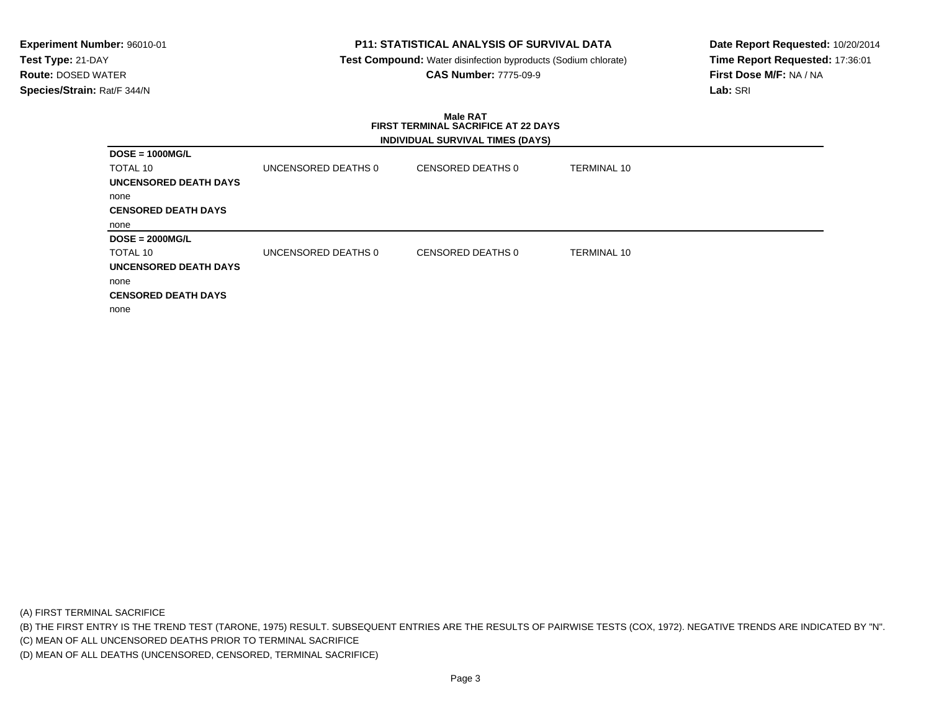# **P11: STATISTICAL ANALYSIS OF SURVIVAL DATA**

 **Test Compound:** Water disinfection byproducts (Sodium chlorate)**CAS Number:** 7775-09-9

**Date Report Requested:** 10/20/2014**Time Report Requested:** 17:36:01**First Dose M/F:** NA / NA**Lab:** SRI

### **Male RAT FIRST TERMINAL SACRIFICE AT 22 DAYSINDIVIDUAL SURVIVAL TIMES (DAYS)**

|                              |                     | $-$               |             |
|------------------------------|---------------------|-------------------|-------------|
| $DOSE = 1000MG/L$            |                     |                   |             |
| TOTAL 10                     | UNCENSORED DEATHS 0 | CENSORED DEATHS 0 | TERMINAL 10 |
| UNCENSORED DEATH DAYS        |                     |                   |             |
| none                         |                     |                   |             |
| <b>CENSORED DEATH DAYS</b>   |                     |                   |             |
| none                         |                     |                   |             |
| $DOSE = 2000MG/L$            |                     |                   |             |
| TOTAL 10                     | UNCENSORED DEATHS 0 | CENSORED DEATHS 0 | TERMINAL 10 |
| <b>UNCENSORED DEATH DAYS</b> |                     |                   |             |
| none                         |                     |                   |             |
| <b>CENSORED DEATH DAYS</b>   |                     |                   |             |
| none                         |                     |                   |             |

(A) FIRST TERMINAL SACRIFICE

(B) THE FIRST ENTRY IS THE TREND TEST (TARONE, 1975) RESULT. SUBSEQUENT ENTRIES ARE THE RESULTS OF PAIRWISE TESTS (COX, 1972). NEGATIVE TRENDS ARE INDICATED BY "N".

(C) MEAN OF ALL UNCENSORED DEATHS PRIOR TO TERMINAL SACRIFICE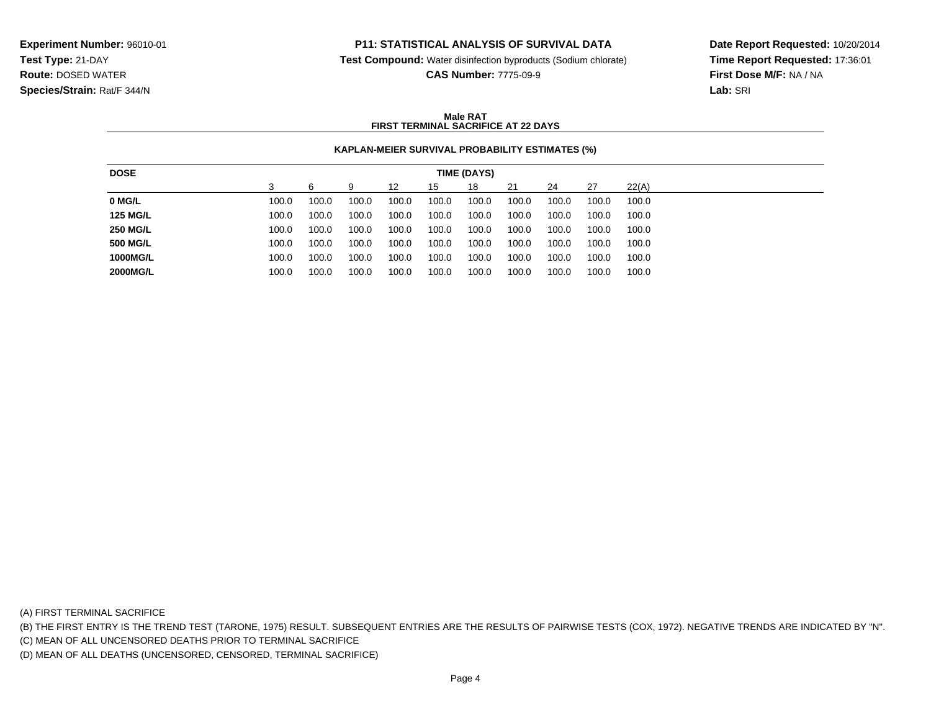## **P11: STATISTICAL ANALYSIS OF SURVIVAL DATA**

**Test Compound:** Water disinfection byproducts (Sodium chlorate)

**CAS Number:** 7775-09-9

**Date Report Requested:** 10/20/2014**Time Report Requested:** 17:36:01**First Dose M/F:** NA / NA**Lab:** SRI

### **Male RATFIRST TERMINAL SACRIFICE AT 22 DAYS**

## **KAPLAN-MEIER SURVIVAL PROBABILITY ESTIMATES (%)**

| <b>DOSE</b>     |       |       |       |       |       | TIME (DAYS) |       |       |       |       |
|-----------------|-------|-------|-------|-------|-------|-------------|-------|-------|-------|-------|
|                 |       | 6     | 9     | 12    | 15    | 18          | 21    | 24    | 27    | 22(A) |
| 0 MG/L          | 100.0 | 100.0 | 100.0 | 100.0 | 100.0 | 100.0       | 100.0 | 100.0 | 100.0 | 100.0 |
| <b>125 MG/L</b> | 100.0 | 100.0 | 100.0 | 100.0 | 100.0 | 100.0       | 100.0 | 100.0 | 100.0 | 100.0 |
| <b>250 MG/L</b> | 100.0 | 100.0 | 100.0 | 100.0 | 100.0 | 100.0       | 100.0 | 100.0 | 100.0 | 100.0 |
| <b>500 MG/L</b> | 100.0 | 100.0 | 100.0 | 100.0 | 100.0 | 100.0       | 100.0 | 100.0 | 100.0 | 100.0 |
| 1000MG/L        | 100.0 | 100.0 | 100.0 | 100.0 | 100.0 | 100.0       | 100.0 | 100.0 | 100.0 | 100.0 |
| <b>2000MG/L</b> | 100.0 | 100.0 | 100.0 | 100.0 | 100.0 | 100.0       | 100.0 | 100.0 | 100.0 | 100.0 |

(A) FIRST TERMINAL SACRIFICE

(B) THE FIRST ENTRY IS THE TREND TEST (TARONE, 1975) RESULT. SUBSEQUENT ENTRIES ARE THE RESULTS OF PAIRWISE TESTS (COX, 1972). NEGATIVE TRENDS ARE INDICATED BY "N".

(C) MEAN OF ALL UNCENSORED DEATHS PRIOR TO TERMINAL SACRIFICE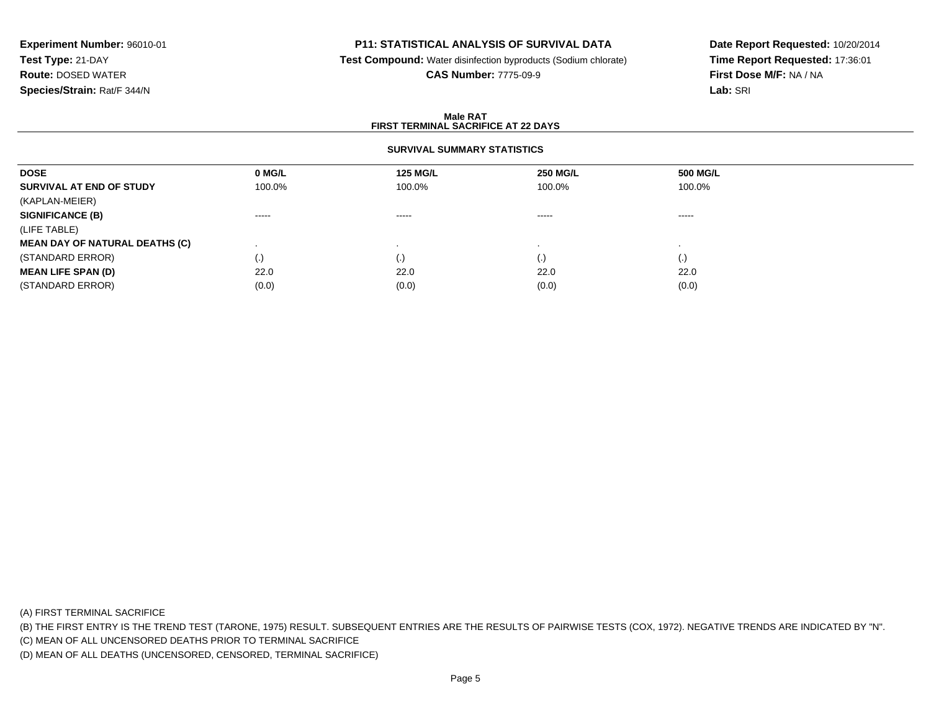# **P11: STATISTICAL ANALYSIS OF SURVIVAL DATA**

**Test Compound:** Water disinfection byproducts (Sodium chlorate)

**CAS Number:** 7775-09-9

**Date Report Requested:** 10/20/2014**Time Report Requested:** 17:36:01**First Dose M/F:** NA / NA**Lab:** SRI

### **Male RATFIRST TERMINAL SACRIFICE AT 22 DAYS**

## **SURVIVAL SUMMARY STATISTICS**

| 0 MG/L                 | <b>125 MG/L</b>        | <b>250 MG/L</b> | 500 MG/L           |
|------------------------|------------------------|-----------------|--------------------|
| 100.0%                 | 100.0%                 | 100.0%          | 100.0%             |
|                        |                        |                 |                    |
| $\cdots \cdots \cdots$ | $\cdots \cdots \cdots$ | -----           | -----              |
|                        |                        |                 |                    |
|                        |                        |                 |                    |
| $\cdot$                | $\cdot$ ,              | (.)             | $\left( . \right)$ |
| 22.0                   | 22.0                   | 22.0            | 22.0               |
| (0.0)                  | (0.0)                  | (0.0)           | (0.0)              |
|                        |                        |                 |                    |

(A) FIRST TERMINAL SACRIFICE

(B) THE FIRST ENTRY IS THE TREND TEST (TARONE, 1975) RESULT. SUBSEQUENT ENTRIES ARE THE RESULTS OF PAIRWISE TESTS (COX, 1972). NEGATIVE TRENDS ARE INDICATED BY "N".

(C) MEAN OF ALL UNCENSORED DEATHS PRIOR TO TERMINAL SACRIFICE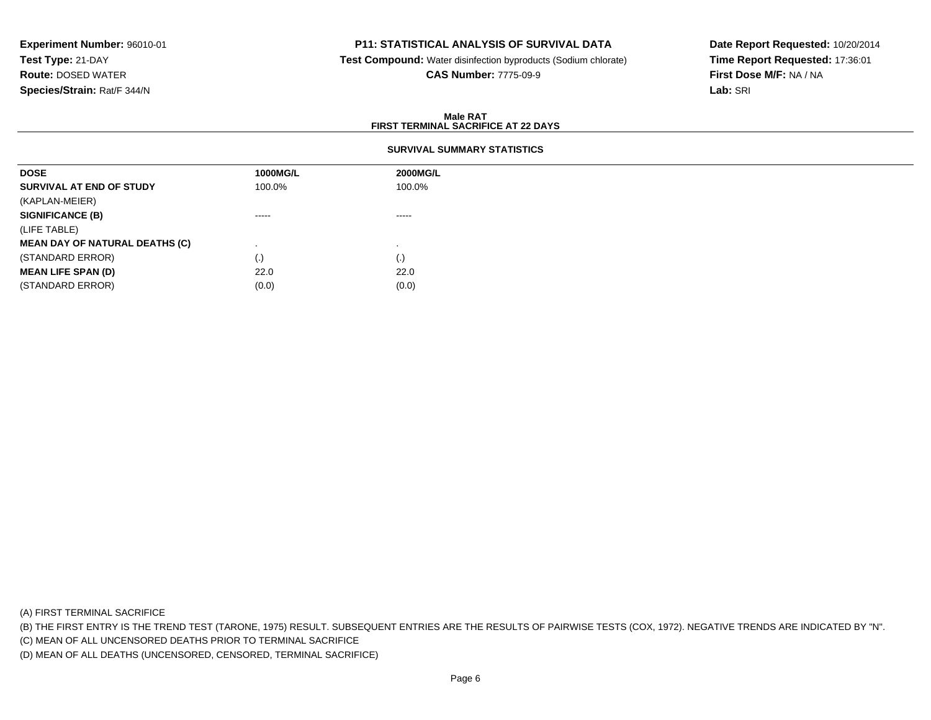## **P11: STATISTICAL ANALYSIS OF SURVIVAL DATA**

**Test Compound:** Water disinfection byproducts (Sodium chlorate)

**CAS Number:** 7775-09-9

**Date Report Requested:** 10/20/2014**Time Report Requested:** 17:36:01**First Dose M/F:** NA / NA**Lab:** SRI

### **Male RATFIRST TERMINAL SACRIFICE AT 22 DAYS**

### **SURVIVAL SUMMARY STATISTICS**

| 1000MG/L | 2000MG/L    |
|----------|-------------|
| 100.0%   | 100.0%      |
|          |             |
| ------   | $- - - - -$ |
|          |             |
|          |             |
| (.)      | (.)         |
| 22.0     | 22.0        |
| (0.0)    | (0.0)       |
|          |             |

(A) FIRST TERMINAL SACRIFICE

(B) THE FIRST ENTRY IS THE TREND TEST (TARONE, 1975) RESULT. SUBSEQUENT ENTRIES ARE THE RESULTS OF PAIRWISE TESTS (COX, 1972). NEGATIVE TRENDS ARE INDICATED BY "N".

(C) MEAN OF ALL UNCENSORED DEATHS PRIOR TO TERMINAL SACRIFICE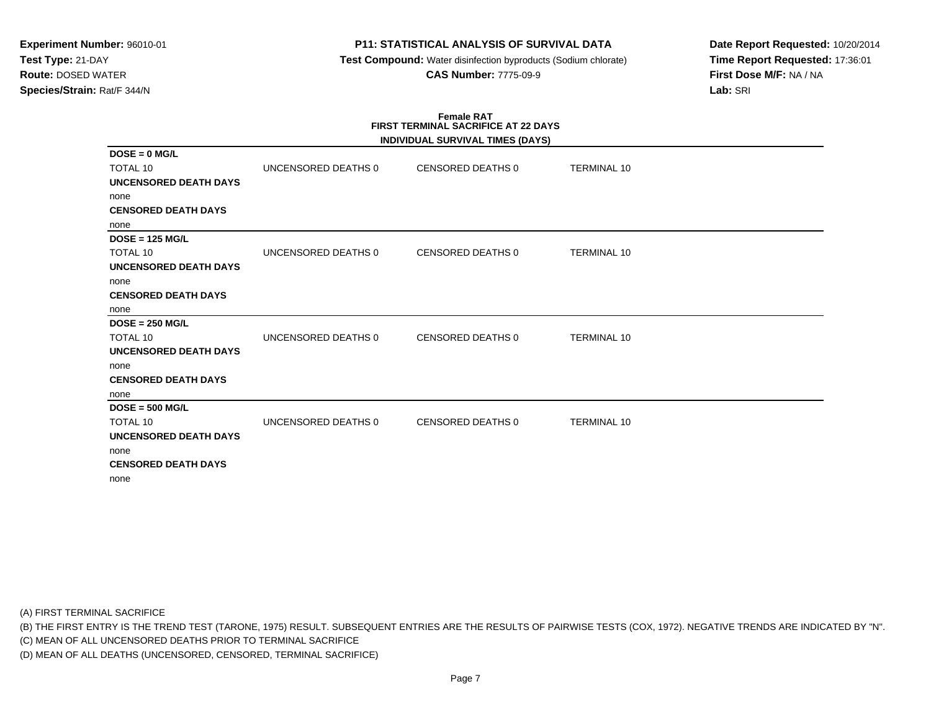# **P11: STATISTICAL ANALYSIS OF SURVIVAL DATA**

 **Test Compound:** Water disinfection byproducts (Sodium chlorate)**CAS Number:** 7775-09-9

**Date Report Requested:** 10/20/2014**Time Report Requested:** 17:36:01**First Dose M/F:** NA / NA**Lab:** SRI

# **Female RATFIRST TERMINAL SACRIFICE AT 22 DAYS**

|                              |                     | INDIVIDUAL SURVIVAL TIMES (DAYS) |                    |  |
|------------------------------|---------------------|----------------------------------|--------------------|--|
| $DOSE = 0$ MG/L              |                     |                                  |                    |  |
| <b>TOTAL 10</b>              | UNCENSORED DEATHS 0 | CENSORED DEATHS 0                | <b>TERMINAL 10</b> |  |
| <b>UNCENSORED DEATH DAYS</b> |                     |                                  |                    |  |
| none                         |                     |                                  |                    |  |
| <b>CENSORED DEATH DAYS</b>   |                     |                                  |                    |  |
| none                         |                     |                                  |                    |  |
| $DOSE = 125 MGL$             |                     |                                  |                    |  |
| <b>TOTAL 10</b>              | UNCENSORED DEATHS 0 | <b>CENSORED DEATHS 0</b>         | <b>TERMINAL 10</b> |  |
| <b>UNCENSORED DEATH DAYS</b> |                     |                                  |                    |  |
| none                         |                     |                                  |                    |  |
| <b>CENSORED DEATH DAYS</b>   |                     |                                  |                    |  |
| none                         |                     |                                  |                    |  |
| $DOSE = 250 MGL$             |                     |                                  |                    |  |
| <b>TOTAL 10</b>              | UNCENSORED DEATHS 0 | <b>CENSORED DEATHS 0</b>         | <b>TERMINAL 10</b> |  |
| <b>UNCENSORED DEATH DAYS</b> |                     |                                  |                    |  |
| none                         |                     |                                  |                    |  |
| <b>CENSORED DEATH DAYS</b>   |                     |                                  |                    |  |
| none                         |                     |                                  |                    |  |
| $DOSE = 500 MGL$             |                     |                                  |                    |  |
| TOTAL 10                     | UNCENSORED DEATHS 0 | <b>CENSORED DEATHS 0</b>         | <b>TERMINAL 10</b> |  |
| <b>UNCENSORED DEATH DAYS</b> |                     |                                  |                    |  |
| none                         |                     |                                  |                    |  |
| <b>CENSORED DEATH DAYS</b>   |                     |                                  |                    |  |
| none                         |                     |                                  |                    |  |

(A) FIRST TERMINAL SACRIFICE

(B) THE FIRST ENTRY IS THE TREND TEST (TARONE, 1975) RESULT. SUBSEQUENT ENTRIES ARE THE RESULTS OF PAIRWISE TESTS (COX, 1972). NEGATIVE TRENDS ARE INDICATED BY "N".

(C) MEAN OF ALL UNCENSORED DEATHS PRIOR TO TERMINAL SACRIFICE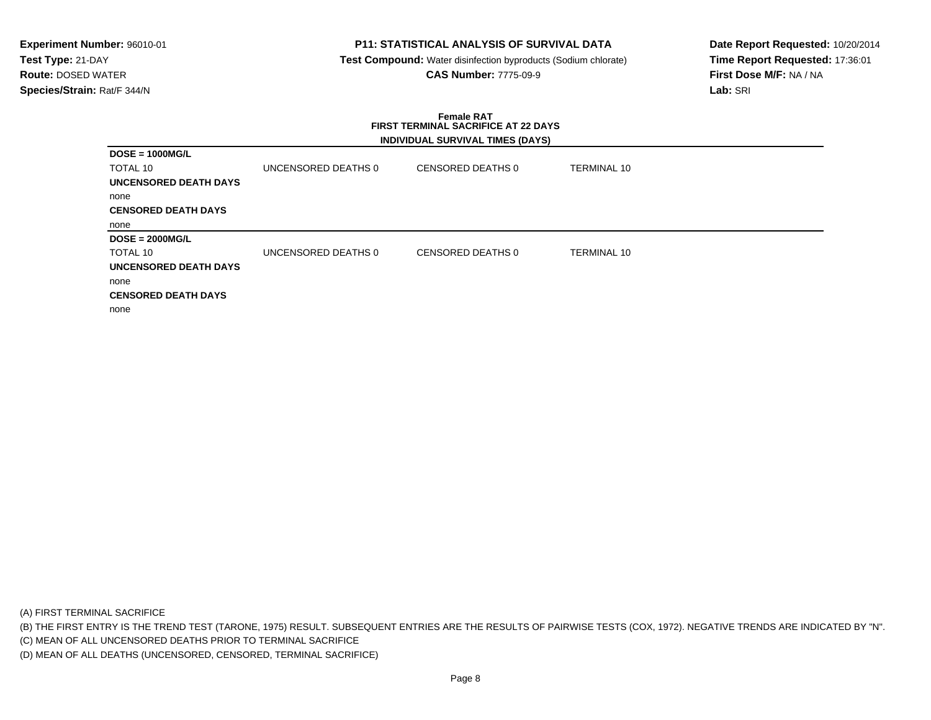# **P11: STATISTICAL ANALYSIS OF SURVIVAL DATA**

 **Test Compound:** Water disinfection byproducts (Sodium chlorate)**CAS Number:** 7775-09-9

**Date Report Requested:** 10/20/2014**Time Report Requested:** 17:36:01**First Dose M/F:** NA / NA**Lab:** SRI

### **Female RAT FIRST TERMINAL SACRIFICE AT 22 DAYSINDIVIDUAL SURVIVAL TIMES (DAYS)**

|                              |                     | $\overline{\phantom{a}}$ |                    |
|------------------------------|---------------------|--------------------------|--------------------|
| $DOSE = 1000MG/L$            |                     |                          |                    |
| TOTAL 10                     | UNCENSORED DEATHS 0 | CENSORED DEATHS 0        | <b>TERMINAL 10</b> |
| UNCENSORED DEATH DAYS        |                     |                          |                    |
| none                         |                     |                          |                    |
| <b>CENSORED DEATH DAYS</b>   |                     |                          |                    |
| none                         |                     |                          |                    |
| $DOSE = 2000MG/L$            |                     |                          |                    |
| TOTAL 10                     | UNCENSORED DEATHS 0 | CENSORED DEATHS 0        | TERMINAL 10        |
| <b>UNCENSORED DEATH DAYS</b> |                     |                          |                    |
| none                         |                     |                          |                    |
| <b>CENSORED DEATH DAYS</b>   |                     |                          |                    |
| none                         |                     |                          |                    |

(A) FIRST TERMINAL SACRIFICE

(B) THE FIRST ENTRY IS THE TREND TEST (TARONE, 1975) RESULT. SUBSEQUENT ENTRIES ARE THE RESULTS OF PAIRWISE TESTS (COX, 1972). NEGATIVE TRENDS ARE INDICATED BY "N".

(C) MEAN OF ALL UNCENSORED DEATHS PRIOR TO TERMINAL SACRIFICE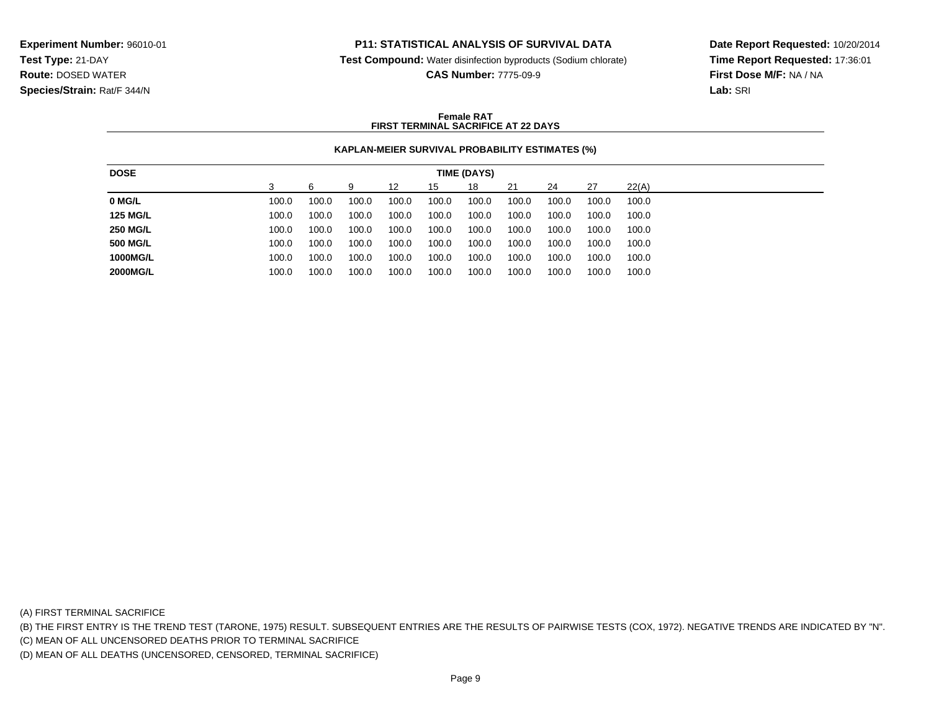## **P11: STATISTICAL ANALYSIS OF SURVIVAL DATA**

**Test Compound:** Water disinfection byproducts (Sodium chlorate)

**CAS Number:** 7775-09-9

**Date Report Requested:** 10/20/2014**Time Report Requested:** 17:36:01**First Dose M/F:** NA / NA**Lab:** SRI

### **Female RATFIRST TERMINAL SACRIFICE AT 22 DAYS**

### **KAPLAN-MEIER SURVIVAL PROBABILITY ESTIMATES (%)**

| <b>DOSE</b>     |       |       |       |       |       | TIME (DAYS) |       |       |       |       |
|-----------------|-------|-------|-------|-------|-------|-------------|-------|-------|-------|-------|
|                 |       |       | 9     | 12    | 15    | 18          | 21    | 24    | 27    | 22(A) |
| 0 MG/L          | 100.0 | 100.0 | 100.0 | 100.0 | 100.0 | 100.0       | 100.0 | 100.0 | 100.0 | 100.0 |
| <b>125 MG/L</b> | 100.0 | 100.0 | 100.0 | 100.0 | 100.0 | 100.0       | 100.0 | 100.0 | 100.0 | 100.0 |
| <b>250 MG/L</b> | 100.0 | 100.0 | 100.0 | 100.0 | 100.0 | 100.0       | 100.0 | 100.0 | 100.0 | 100.0 |
| <b>500 MG/L</b> | 100.0 | 100.0 | 100.0 | 100.0 | 100.0 | 100.0       | 100.0 | 100.0 | 100.0 | 100.0 |
| 1000MG/L        | 100.0 | 100.0 | 100.0 | 100.0 | 100.0 | 100.0       | 100.0 | 100.0 | 100.0 | 100.0 |
| <b>2000MG/L</b> | 100.0 | 100.0 | 100.0 | 100.0 | 100.0 | 100.0       | 100.0 | 100.0 | 100.0 | 100.0 |

(A) FIRST TERMINAL SACRIFICE

(B) THE FIRST ENTRY IS THE TREND TEST (TARONE, 1975) RESULT. SUBSEQUENT ENTRIES ARE THE RESULTS OF PAIRWISE TESTS (COX, 1972). NEGATIVE TRENDS ARE INDICATED BY "N".

(C) MEAN OF ALL UNCENSORED DEATHS PRIOR TO TERMINAL SACRIFICE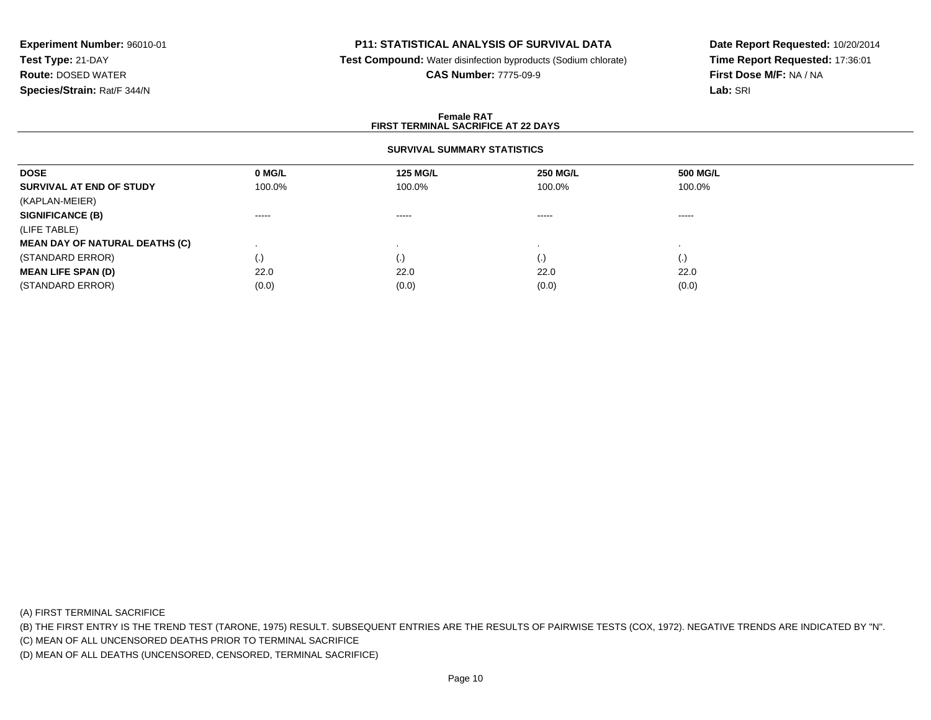## **P11: STATISTICAL ANALYSIS OF SURVIVAL DATA**

**Test Compound:** Water disinfection byproducts (Sodium chlorate)

**CAS Number:** 7775-09-9

**Date Report Requested:** 10/20/2014**Time Report Requested:** 17:36:01**First Dose M/F:** NA / NA**Lab:** SRI

### **Female RATFIRST TERMINAL SACRIFICE AT 22 DAYS**

## **SURVIVAL SUMMARY STATISTICS**

| 0 MG/L   | <b>125 MG/L</b> | <b>250 MG/L</b>    | 500 MG/L           |  |
|----------|-----------------|--------------------|--------------------|--|
| 100.0%   | 100.0%          | 100.0%             | 100.0%             |  |
|          |                 |                    |                    |  |
| $\cdots$ | $\cdots$        | -----              | ------             |  |
|          |                 |                    |                    |  |
|          |                 |                    |                    |  |
| $\cdot$  | $\cdot$ .       | $\left( . \right)$ | $\left( . \right)$ |  |
| 22.0     | 22.0            | 22.0               | 22.0               |  |
| (0.0)    | (0.0)           | (0.0)              | (0.0)              |  |
|          |                 |                    |                    |  |

(A) FIRST TERMINAL SACRIFICE

(B) THE FIRST ENTRY IS THE TREND TEST (TARONE, 1975) RESULT. SUBSEQUENT ENTRIES ARE THE RESULTS OF PAIRWISE TESTS (COX, 1972). NEGATIVE TRENDS ARE INDICATED BY "N".

(C) MEAN OF ALL UNCENSORED DEATHS PRIOR TO TERMINAL SACRIFICE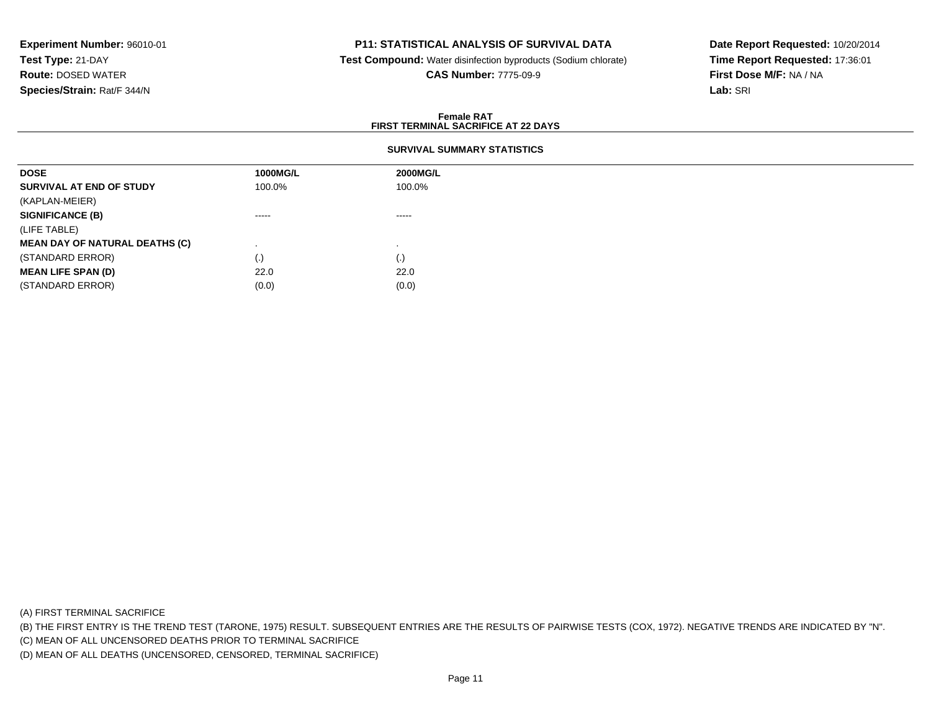## **P11: STATISTICAL ANALYSIS OF SURVIVAL DATA**

 **Test Compound:** Water disinfection byproducts (Sodium chlorate)**CAS Number:** 7775-09-9

**Date Report Requested:** 10/20/2014**Time Report Requested:** 17:36:01**First Dose M/F:** NA / NA**Lab:** SRI

#### **Female RATFIRST TERMINAL SACRIFICE AT 22 DAYS**

## **SURVIVAL SUMMARY STATISTICS**

| <b>DOSE</b>                           | 1000MG/L               | 2000MG/L               |
|---------------------------------------|------------------------|------------------------|
| SURVIVAL AT END OF STUDY              | 100.0%                 | 100.0%                 |
| (KAPLAN-MEIER)                        |                        |                        |
| <b>SIGNIFICANCE (B)</b>               | $\cdots$               | $\cdots \cdots \cdots$ |
| (LIFE TABLE)                          |                        |                        |
| <b>MEAN DAY OF NATURAL DEATHS (C)</b> |                        |                        |
| (STANDARD ERROR)                      | $\left( \cdot \right)$ | (.)                    |
| <b>MEAN LIFE SPAN (D)</b>             | 22.0                   | 22.0                   |
| (STANDARD ERROR)                      | (0.0)                  | (0.0)                  |

(A) FIRST TERMINAL SACRIFICE

(B) THE FIRST ENTRY IS THE TREND TEST (TARONE, 1975) RESULT. SUBSEQUENT ENTRIES ARE THE RESULTS OF PAIRWISE TESTS (COX, 1972). NEGATIVE TRENDS ARE INDICATED BY "N".

(C) MEAN OF ALL UNCENSORED DEATHS PRIOR TO TERMINAL SACRIFICE